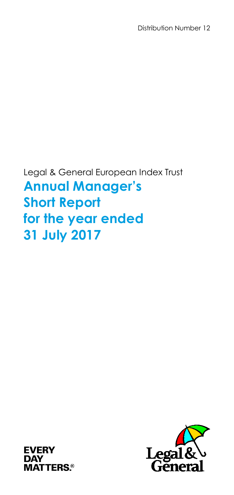Distribution Number 12

Legal & General European Index Trust **Annual Manager's Short Report for the year ended 31 July 2017**



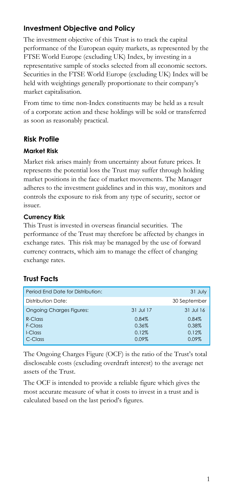# **Investment Objective and Policy**

The investment objective of this Trust is to track the capital performance of the European equity markets, as represented by the FTSE World Europe (excluding UK) Index, by investing in a representative sample of stocks selected from all economic sectors. Securities in the FTSE World Europe (excluding UK) Index will be held with weightings generally proportionate to their company's market capitalisation.

From time to time non-Index constituents may be held as a result of a corporate action and these holdings will be sold or transferred as soon as reasonably practical.

## **Risk Profile**

#### **Market Risk**

Market risk arises mainly from uncertainty about future prices. It represents the potential loss the Trust may suffer through holding market positions in the face of market movements. The Manager adheres to the investment guidelines and in this way, monitors and controls the exposure to risk from any type of security, sector or issuer.

#### **Currency Risk**

This Trust is invested in overseas financial securities. The performance of the Trust may therefore be affected by changes in exchange rates. This risk may be managed by the use of forward currency contracts, which aim to manage the effect of changing exchange rates.

## **Trust Facts**

| Period End Date for Distribution: |           | 31 July      |
|-----------------------------------|-----------|--------------|
| Distribution Date:                |           | 30 September |
| <b>Ongoing Charges Figures:</b>   | 31 Jul 17 | 31 Jul 16    |
| $R$ -Class                        | 0.84%     | 0.84%        |
| F-Class                           | 0.36%     | 0.38%        |
| I-Class                           | 0.12%     | 0.12%        |
| C-Class                           | 0.09%     | 0.09%        |

The Ongoing Charges Figure (OCF) is the ratio of the Trust's total discloseable costs (excluding overdraft interest) to the average net assets of the Trust.

The OCF is intended to provide a reliable figure which gives the most accurate measure of what it costs to invest in a trust and is calculated based on the last period's figures.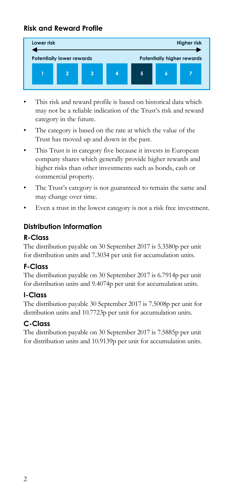## **Risk and Reward Profile**



- This risk and reward profile is based on historical data which may not be a reliable indication of the Trust's risk and reward category in the future.
- The category is based on the rate at which the value of the Trust has moved up and down in the past.
- This Trust is in category five because it invests in European company shares which generally provide higher rewards and higher risks than other investments such as bonds, cash or commercial property.
- The Trust's category is not guaranteed to remain the same and may change over time.
- Even a trust in the lowest category is not a risk free investment.

## **Distribution Information**

## **R-Class**

The distribution payable on 30 September 2017 is 5.3580p per unit for distribution units and 7.3034 per unit for accumulation units.

## **F-Class**

The distribution payable on 30 September 2017 is 6.7914p per unit for distribution units and 9.4074p per unit for accumulation units.

## **I-Class**

The distribution payable 30 September 2017 is 7.5008p per unit for distribution units and 10.7723p per unit for accumulation units.

## **C-Class**

The distribution payable on 30 September 2017 is 7.5885p per unit for distribution units and 10.9139p per unit for accumulation units.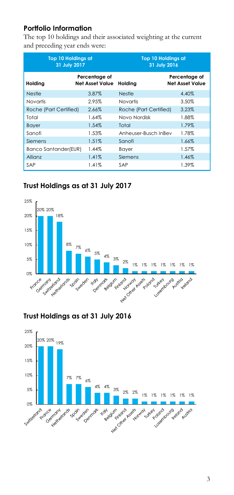## **Portfolio Information**

The top 10 holdings and their associated weighting at the current and preceding year ends were:

| <b>Top 10 Holdings at</b><br>31 July 2017 |                                         | <b>Top 10 Holdings at</b><br>31 July 2016 |                                         |
|-------------------------------------------|-----------------------------------------|-------------------------------------------|-----------------------------------------|
| Holding                                   | Percentage of<br><b>Net Asset Value</b> | Holdina                                   | Percentage of<br><b>Net Asset Value</b> |
| <b>Nestle</b>                             | 3.87%                                   | <b>Nestle</b>                             | 4.40%                                   |
| <b>Novartis</b>                           | 2.95%                                   | Novartis                                  | 3.50%                                   |
| Roche (Part Certified)                    | 2.66%                                   | Roche (Part Certified)                    | 3.23%                                   |
| Total                                     | 1.64%                                   | Novo Nordisk                              | 1.88%                                   |
| <b>Bayer</b>                              | 1.54%                                   | Total                                     | 1.79%                                   |
| Sanofi                                    | 1.53%                                   | Anheuser-Busch InBev                      | 1.78%                                   |
| Siemens                                   | 1.51%                                   | Sanofi                                    | 1.66%                                   |
| Banco Santander(EUR)                      | 1.44%                                   | Bayer                                     | 1.57%                                   |
| Allianz                                   | 1.41%                                   | Siemens                                   | 1.46%                                   |
| SAP                                       | 1.41%                                   | SAP                                       | 1.39%                                   |

# **Trust Holdings as at 31 July 2017**



## **Trust Holdings as at 31 July 2016**

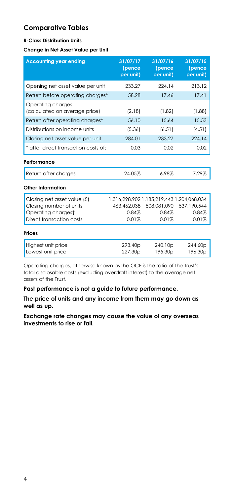## **Comparative Tables**

#### **R-Class Distribution Units**

#### **Change in Net Asset Value per Unit**

| <b>Accounting year ending</b>                                                  | 31/07/17<br>(pence<br>per unit)                    | 31/07/16<br>(pence<br>per unit)  | 31/07/15<br>(pence<br>per unit) |
|--------------------------------------------------------------------------------|----------------------------------------------------|----------------------------------|---------------------------------|
| Opening net asset value per unit                                               | 233.27                                             | 224.14                           | 213.12                          |
| Return before operating charges*                                               | 58.28                                              | 17.46                            | 17.41                           |
| Operating charges<br>(calculated on average price)                             | (2.18)                                             | (1.82)                           | (1.88)                          |
| Return after operating charges*                                                | 56.10                                              | 15.64                            | 15.53                           |
| Distributions on income units                                                  | (5.36)                                             | (6.51)                           | (4.51)                          |
| Closing net asset value per unit                                               | 284.01                                             | 233.27                           | 224 14                          |
| * after direct transaction costs of:                                           | 0.03                                               | 0.02                             | 0.02                            |
| Performance                                                                    |                                                    |                                  |                                 |
| Return after charges                                                           | 24.05%                                             | 6.98%                            | 7.29%                           |
| Other Information                                                              |                                                    |                                  |                                 |
| Closing net asset value $(f)$<br>Closing number of units<br>Operating chargest | 1.316.298.902 1.185.219.443 1.204.068.034<br>0.84% | 463.462.038 508.081.090<br>0.84% | 537.190.544<br>0.84%            |
| Direct transaction costs                                                       | 0.01%                                              | 0.01%                            | 0.01%                           |
| Prices                                                                         |                                                    |                                  |                                 |
| Highest unit price<br>Lowest unit price                                        | 293.40p<br>227.30p                                 | 240.10p<br>195.30p               | 244.60p<br>196.30p              |

† Operating charges, otherwise known as the OCF is the ratio of the Trust's total disclosable costs (excluding overdraft interest) to the average net assets of the Trust.

**Past performance is not a guide to future performance.**

**The price of units and any income from them may go down as well as up.**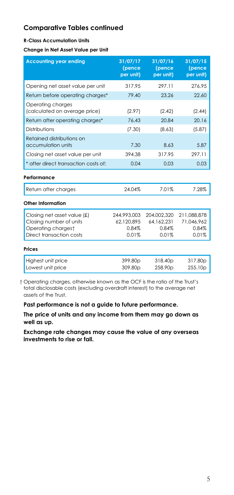#### **R-Class Accumulation Units**

**Change in Net Asset Value per Unit**

| <b>Accounting year ending</b>                                                                            | 31/07/17<br>(pence<br>per unit)             | 31/07/16<br>(pence<br>per unit)             | 31/07/15<br>(pence<br>per unit)             |
|----------------------------------------------------------------------------------------------------------|---------------------------------------------|---------------------------------------------|---------------------------------------------|
| Opening net asset value per unit                                                                         | 317.95                                      | 297 11                                      | 276.95                                      |
| Return before operating charges*                                                                         | 79.40                                       | 23.26                                       | 22.60                                       |
| Operating charges<br>(calculated on average price)                                                       | (2.97)                                      | (2.42)                                      | (2.44)                                      |
| Return after operating charges*                                                                          | 76.43                                       | 20.84                                       | 20.16                                       |
| Distributions                                                                                            | (7.30)                                      | (8.63)                                      | (5.87)                                      |
| Retained distributions on<br>accumulation units                                                          | 7.30                                        | 8.63                                        | 5.87                                        |
| Closing net asset value per unit                                                                         | 394.38                                      | 317.95                                      | 297.11                                      |
| * after direct transaction costs of:                                                                     | 0.04                                        | 0.03                                        | 0.03                                        |
| Performance                                                                                              |                                             |                                             |                                             |
| Return after charges                                                                                     | 24.04%                                      | 7.01%                                       | 7.28%                                       |
| Other Information                                                                                        |                                             |                                             |                                             |
| Closing net asset value (£)<br>Closing number of units<br>Operating chargest<br>Direct transaction costs | 244.993.003<br>62.120.895<br>0.84%<br>0.01% | 204,002,320<br>64.162.231<br>0.84%<br>0.01% | 211.088.878<br>71.046.962<br>0.84%<br>0.01% |
| Prices                                                                                                   |                                             |                                             |                                             |
| Highest unit price<br>Lowest unit price                                                                  | 399.80p<br>309.80p                          | 318.40p<br>258.90p                          | 317.80p<br>255.10p                          |

† Operating charges, otherwise known as the OCF is the ratio of the Trust's total disclosable costs (excluding overdraft interest) to the average net assets of the Trust.

**Past performance is not a guide to future performance.**

**The price of units and any income from them may go down as well as up.**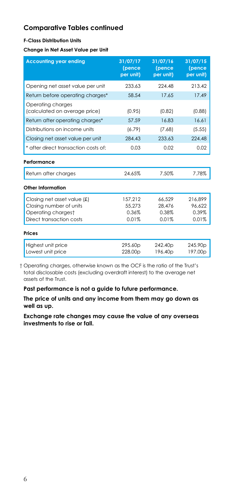#### **F-Class Distribution Units**

**Change in Net Asset Value per Unit**

| <b>Accounting year ending</b>                      | 31/07/17<br>(pence<br>per unit) | 31/07/16<br>(pence<br>per unit)            | 31/07/15<br>(pence<br>per unit) |
|----------------------------------------------------|---------------------------------|--------------------------------------------|---------------------------------|
| Opening net asset value per unit                   | 233.63                          | 224.48                                     | 213.42                          |
| Return before operating charges*                   | 58.54                           | 17.65                                      | 17.49                           |
| Operating charges<br>(calculated on average price) | (0.95)                          | (0.82)                                     | (0.88)                          |
| Return after operating charges*                    | 57.59                           | 16.83                                      | 16.61                           |
| Distributions on income units                      | (6.79)                          | (7.68)                                     | (5.55)                          |
| Closing net asset value per unit                   | 284.43                          | 233.63                                     | 224.48                          |
| * after direct transaction costs of:               | 0.03                            | 0.02                                       | 0.02                            |
| Performance                                        |                                 |                                            |                                 |
| Return after charges                               | 24.65%                          | 7.50%                                      | 7.78%                           |
| Other Information                                  |                                 |                                            |                                 |
| Closing net asset value (£)                        | 157.212                         | 66.529                                     | 216.899                         |
| Closing number of units                            | 55,273                          | 28.476                                     | 96,622                          |
| Operating chargest                                 | 0.36%                           | 0.38%                                      | 0.39%                           |
| Direct transaction costs                           | 0.01%                           | 0.01%                                      | 0.01%                           |
| Prices                                             |                                 |                                            |                                 |
| Highest unit price<br>Lowest unit price            | 295.60p<br>228.00 <sub>p</sub>  | 242.40 <sub>p</sub><br>196.40 <sub>p</sub> | 245.90 <sub>p</sub><br>197.00p  |

† Operating charges, otherwise known as the OCF is the ratio of the Trust's total disclosable costs (excluding overdraft interest) to the average net assets of the Trust.

**Past performance is not a guide to future performance.**

**The price of units and any income from them may go down as well as up.**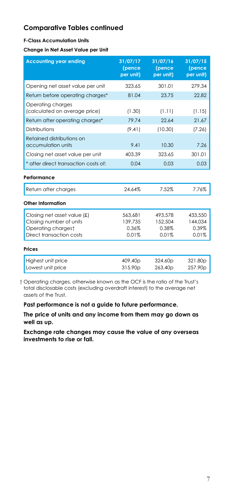#### **F-Class Accumulation Units**

**Change in Net Asset Value per Unit**

| <b>Accounting year ending</b>                                                                            | 31/07/17<br>(pence<br>per unit)      | 31/07/16<br>(pence<br>per unit)      | 31/07/15<br>(pence<br>per unit)      |
|----------------------------------------------------------------------------------------------------------|--------------------------------------|--------------------------------------|--------------------------------------|
| Opening net asset value per unit                                                                         | 323.65                               | 301.01                               | 279.34                               |
| Return before operating charges*                                                                         | 81.04                                | 23.75                                | 22.82                                |
| Operating charges<br>(calculated on average price)                                                       | (1.30)                               | (1.11)                               | (1.15)                               |
| Return after operating charges*                                                                          | 79.74                                | 22.64                                | 21.67                                |
| Distributions                                                                                            | (9.41)                               | (10.30)                              | (7.26)                               |
| Retained distributions on<br>accumulation units                                                          | 9.41                                 | 10.30                                | 7.26                                 |
| Closing net asset value per unit                                                                         | 403.39                               | 323.65                               | 301.01                               |
| * after direct transaction costs of:                                                                     | 0.04                                 | 0.03                                 | 0.03                                 |
| Performance                                                                                              |                                      |                                      |                                      |
| Return after charges                                                                                     | 24.64%                               | 7.52%                                | 7.76%                                |
| Other Information                                                                                        |                                      |                                      |                                      |
| Closing net asset value (£)<br>Closing number of units<br>Operating chargest<br>Direct transaction costs | 563.681<br>139.735<br>0.36%<br>0.01% | 493.578<br>152,504<br>0.38%<br>0.01% | 433,550<br>144.034<br>0.39%<br>0.01% |
| Prices                                                                                                   |                                      |                                      |                                      |
| Highest unit price<br>Lowest unit price                                                                  | 409.40p<br>315.90p                   | 324.60p<br>263.40 <sub>p</sub>       | 321.80p<br>257.90p                   |

† Operating charges, otherwise known as the OCF is the ratio of the Trust's total disclosable costs (excluding overdraft interest) to the average net assets of the Trust.

**Past performance is not a guide to future performance.**

**The price of units and any income from them may go down as well as up.**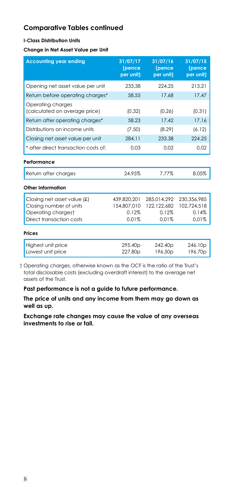#### **I-Class Distribution Units**

**Change in Net Asset Value per Unit**

| <b>Accounting year ending</b>                                                                            | 31/07/17<br>(pence<br>per unit)              | 31/07/16<br>(pence<br>per unit)              | 31/07/15<br>(pence<br>per unit)              |
|----------------------------------------------------------------------------------------------------------|----------------------------------------------|----------------------------------------------|----------------------------------------------|
| Opening net asset value per unit                                                                         | 233.38                                       | 224 25                                       | 213.21                                       |
| Return before operating charges*                                                                         | 58.55                                        | 17.68                                        | 17.47                                        |
| Operating charges<br>(calculated on average price)                                                       | (0.32)                                       | (0.26)                                       | (0.31)                                       |
| Return after operating charges*                                                                          | 58.23                                        | 17.42                                        | 17.16                                        |
| Distributions on income units                                                                            | (7.50)                                       | (8.29)                                       | (6.12)                                       |
| Closing net asset value per unit                                                                         | 284.11                                       | 233.38                                       | 224.25                                       |
| * after direct transaction costs of:                                                                     | 0.03                                         | 0.02                                         | 0.02                                         |
| Performance                                                                                              |                                              |                                              |                                              |
| Return after charges                                                                                     | 24.95%                                       | 7.77%                                        | 8.05%                                        |
| Other Information                                                                                        |                                              |                                              |                                              |
| Closing net asset value (£)<br>Closing number of units<br>Operating chargest<br>Direct transaction costs | 439.820.201<br>154.807.010<br>0.12%<br>0.01% | 285.014.292<br>122,122,682<br>0.12%<br>0.01% | 230.356.985<br>102,724,518<br>0.14%<br>0.01% |
| Prices                                                                                                   |                                              |                                              |                                              |
| Highest unit price<br>Lowest unit price                                                                  | 295.40p<br>227.80 <sub>p</sub>               | 242.40p<br>196.50 <sub>p</sub>               | 246.10p<br>196.70 <sub>p</sub>               |

† Operating charges, otherwise known as the OCF is the ratio of the Trust's total disclosable costs (excluding overdraft interest) to the average net assets of the Trust.

**Past performance is not a guide to future performance.**

**The price of units and any income from them may go down as well as up.**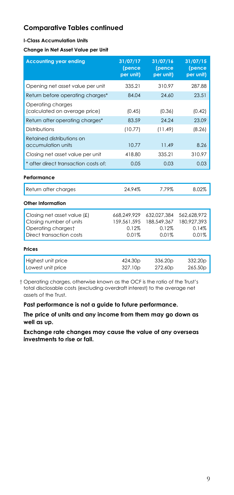#### **I-Class Accumulation Units**

**Change in Net Asset Value per Unit**

| <b>Accounting year ending</b>                                                                            | 31/07/17<br>(pence<br>per unit)              | 31/07/16<br>(pence<br>per unit)              | 31/07/15<br>(pence<br>per unit)              |
|----------------------------------------------------------------------------------------------------------|----------------------------------------------|----------------------------------------------|----------------------------------------------|
| Opening net asset value per unit                                                                         | 335.21                                       | 310.97                                       | 287.88                                       |
| Return before operating charges*                                                                         | 84.04                                        | 24.60                                        | 23.51                                        |
| Operating charges<br>(calculated on average price)                                                       | (0.45)                                       | (0.36)                                       | (0.42)                                       |
| Return after operating charges*                                                                          | 83.59                                        | 24.24                                        | 23.09                                        |
| Distributions                                                                                            | (10.77)                                      | (11.49)                                      | (8.26)                                       |
| Retained distributions on<br>accumulation units                                                          | 10.77                                        | 11.49                                        | 8.26                                         |
| Closing net asset value per unit                                                                         | 418.80                                       | 335.21                                       | 310.97                                       |
| * after direct transaction costs of:                                                                     | 0.05                                         | 0.03                                         | 0.03                                         |
| Performance                                                                                              |                                              |                                              |                                              |
| Return after charges                                                                                     | 24.94%                                       | 7.79%                                        | 8.02%                                        |
| Other Information                                                                                        |                                              |                                              |                                              |
| Closing net asset value (£)<br>Closing number of units<br>Operating chargest<br>Direct transaction costs | 668,249,929<br>159.561.595<br>0.12%<br>0.01% | 632,027,384<br>188.549.367<br>0.12%<br>0.01% | 562,628,972<br>180.927.393<br>0.14%<br>0.01% |
| Prices                                                                                                   |                                              |                                              |                                              |
| Highest unit price<br>Lowest unit price                                                                  | 424.30p<br>327.10p                           | 336.20p<br>272.60p                           | 332.20p<br>265.50p                           |

† Operating charges, otherwise known as the OCF is the ratio of the Trust's total disclosable costs (excluding overdraft interest) to the average net assets of the Trust.

**Past performance is not a guide to future performance.**

**The price of units and any income from them may go down as well as up.**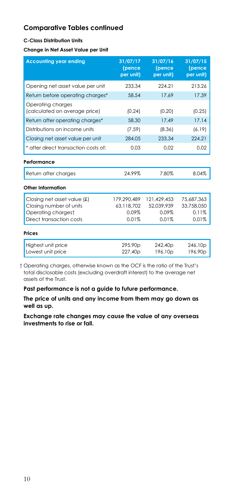#### **C-Class Distribution Units**

**Change in Net Asset Value per Unit**

| <b>Accounting year ending</b>                                                                            | 31/07/17<br>(pence<br>per unit)             | 31/07/16<br>(pence<br>per unit)             | 31/07/15<br>(pence<br>per unit)            |
|----------------------------------------------------------------------------------------------------------|---------------------------------------------|---------------------------------------------|--------------------------------------------|
| Opening net asset value per unit                                                                         | 233.34                                      | 224.21                                      | 213.26                                     |
| Return before operating charges*                                                                         | 58.54                                       | 17.69                                       | 17.39                                      |
| Operating charges<br>(calculated on average price)                                                       | (0.24)                                      | (0.20)                                      | (0.25)                                     |
| Return after operating charges*                                                                          | 58.30                                       | 17.49                                       | 17.14                                      |
| Distributions on income units                                                                            | (7.59)                                      | (8.36)                                      | (6.19)                                     |
| Closing net asset value per unit                                                                         | 284.05                                      | 233.34                                      | 224.21                                     |
| * after direct transaction costs of:                                                                     | 0.03                                        | 0.02                                        | 0.02                                       |
| Performance                                                                                              |                                             |                                             |                                            |
| Return after charges                                                                                     | 24.99%                                      | 7.80%                                       | 8.04%                                      |
| Other Information                                                                                        |                                             |                                             |                                            |
| Closing net asset value (£)<br>Closing number of units<br>Operating chargest<br>Direct transaction costs | 179.290.489<br>63,118,702<br>0.09%<br>0.01% | 121,429,453<br>52.039.939<br>0.09%<br>0.01% | 75.687.363<br>33,758,050<br>0.11%<br>0.01% |
| Prices                                                                                                   |                                             |                                             |                                            |
| Highest unit price<br>Lowest unit price                                                                  | 295.90p<br>227.40 <sub>p</sub>              | 242.40p<br>196.10p                          | 246.10p<br>196.90 <sub>p</sub>             |

† Operating charges, otherwise known as the OCF is the ratio of the Trust's total disclosable costs (excluding overdraft interest) to the average net assets of the Trust.

**Past performance is not a guide to future performance.**

**The price of units and any income from them may go down as well as up.**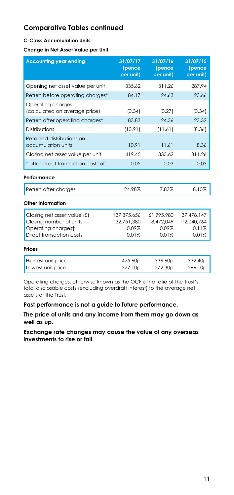#### **C-Class Accumulation Units**

**Change in Net Asset Value per Unit**

| <b>Accounting year ending</b>                                                                            | 31/07/17<br>(pence<br>per unit)             | 31/07/16<br>(pence<br>per unit)            | 31/07/15<br>(pence<br>per unit)            |
|----------------------------------------------------------------------------------------------------------|---------------------------------------------|--------------------------------------------|--------------------------------------------|
| Opening net asset value per unit                                                                         | 335.62                                      | 311.26                                     | 287.94                                     |
| Return before operating charges*                                                                         | 84.17                                       | 24.63                                      | 23.66                                      |
| Operating charges<br>(calculated on average price)                                                       | (0.34)                                      | (0.27)                                     | (0.34)                                     |
| Return after operating charges*                                                                          | 83.83                                       | 24.36                                      | 23.32                                      |
| Distributions                                                                                            | (10.91)                                     | (11.61)                                    | (8.36)                                     |
| Retained distributions on<br>accumulation units                                                          | 10.91                                       | 11.61                                      | 8.36                                       |
| Closing net asset value per unit                                                                         | 419.45                                      | 335.62                                     | 311.26                                     |
| * after direct transaction costs of:                                                                     | 0.05                                        | 0.03                                       | 0.03                                       |
| Performance                                                                                              |                                             |                                            |                                            |
| Return after charges                                                                                     | 24.98%                                      | 7.83%                                      | 8.10%                                      |
| Other Information                                                                                        |                                             |                                            |                                            |
| Closing net asset value (£)<br>Closing number of units<br>Operating chargest<br>Direct transaction costs | 137,375,656<br>32.751.380<br>0.09%<br>0.01% | 61,995,980<br>18,472,049<br>0.09%<br>0.01% | 37,478,147<br>12.040.764<br>0.11%<br>0.01% |
| Prices                                                                                                   |                                             |                                            |                                            |
| Highest unit price<br>Lowest unit price                                                                  | 425.60p<br>327.10p                          | 336.60p<br>272.30p                         | 332.40 <sub>p</sub><br>266.00p             |

† Operating charges, otherwise known as the OCF is the ratio of the Trust's total disclosable costs (excluding overdraft interest) to the average net assets of the Trust.

**Past performance is not a guide to future performance.**

**The price of units and any income from them may go down as well as up.**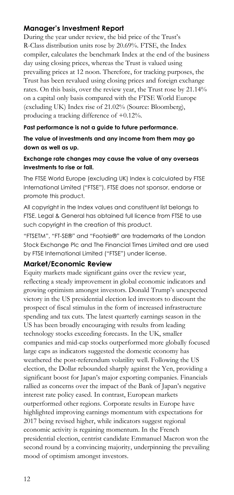## **Manager's Investment Report**

During the year under review, the bid price of the Trust's R-Class distribution units rose by 20.69%. FTSE, the Index compiler, calculates the benchmark Index at the end of the business day using closing prices, whereas the Trust is valued using prevailing prices at 12 noon. Therefore, for tracking purposes, the Trust has been revalued using closing prices and foreign exchange rates. On this basis, over the review year, the Trust rose by 21.14% on a capital only basis compared with the FTSE World Europe (excluding UK) Index rise of 21.02% (Source: Bloomberg), producing a tracking difference of +0.12%.

#### **Past performance is not a guide to future performance.**

**The value of investments and any income from them may go down as well as up.**

#### **Exchange rate changes may cause the value of any overseas investments to rise or fall.**

The FTSE World Europe (excluding UK) Index is calculated by FTSE International Limited ("FTSE"). FTSE does not sponsor, endorse or promote this product.

All copyright in the Index values and constituent list belongs to FTSE. Legal & General has obtained full licence from FTSE to use such copyright in the creation of this product.

"FTSETM", "FT-SE®" and "Footsie®" are trademarks of the London Stock Exchange Plc and The Financial Times Limited and are used by FTSE International Limited ("FTSE") under license.

#### **Market/Economic Review**

Equity markets made significant gains over the review year, reflecting a steady improvement in global economic indicators and growing optimism amongst investors. Donald Trump's unexpected victory in the US presidential election led investors to discount the prospect of fiscal stimulus in the form of increased infrastructure spending and tax cuts. The latest quarterly earnings season in the US has been broadly encouraging with results from leading technology stocks exceeding forecasts. In the UK, smaller companies and mid-cap stocks outperformed more globally focused large caps as indicators suggested the domestic economy has weathered the post-referendum volatility well. Following the US election, the Dollar rebounded sharply against the Yen, providing a significant boost for Japan's major exporting companies. Financials rallied as concerns over the impact of the Bank of Japan's negative interest rate policy eased. In contrast, European markets outperformed other regions. Corporate results in Europe have highlighted improving earnings momentum with expectations for 2017 being revised higher, while indicators suggest regional economic activity is regaining momentum. In the French presidential election, centrist candidate Emmanuel Macron won the second round by a convincing majority, underpinning the prevailing mood of optimism amongst investors.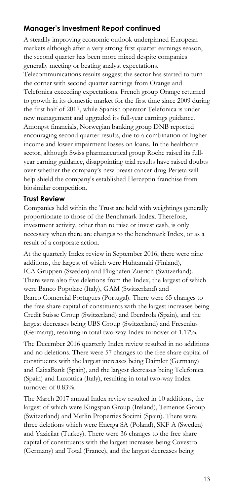## **Manager's Investment Report continued**

A steadily improving economic outlook underpinned European markets although after a very strong first quarter earnings season, the second quarter has been more mixed despite companies generally meeting or beating analyst expectations.

Telecommunications results suggest the sector has started to turn the corner with second quarter earnings from Orange and Telefonica exceeding expectations. French group Orange returned to growth in its domestic market for the first time since 2009 during the first half of 2017, while Spanish operator Telefonica is under new management and upgraded its full-year earnings guidance. Amongst financials, Norwegian banking group DNB reported encouraging second quarter results, due to a combination of higher income and lower impairment losses on loans. In the healthcare sector, although Swiss pharmaceutical group Roche raised its fullyear earning guidance, disappointing trial results have raised doubts over whether the company's new breast cancer drug Perjeta will help shield the company's established Herceptin franchise from biosimilar competition.

#### **Trust Review**

Companies held within the Trust are held with weightings generally proportionate to those of the Benchmark Index. Therefore, investment activity, other than to raise or invest cash, is only necessary when there are changes to the benchmark Index, or as a result of a corporate action.

At the quarterly Index review in September 2016, there were nine additions, the largest of which were Huhtamaki (Finland), ICA Gruppen (Sweden) and Flughafen Zuerich (Switzerland). There were also five deletions from the Index, the largest of which were Banco Popolare (Italy), GAM (Switzerland) and Banco Comercial Portugues (Portugal). There were 65 changes to the free share capital of constituents with the largest increases being Credit Suisse Group (Switzerland) and Iberdrola (Spain), and the largest decreases being UBS Group (Switzerland) and Fresenius (Germany), resulting in total two-way Index turnover of 1.17%.

The December 2016 quarterly Index review resulted in no additions and no deletions. There were 57 changes to the free share capital of constituents with the largest increases being Daimler (Germany) and CaixaBank (Spain), and the largest decreases being Telefonica (Spain) and Luxottica (Italy), resulting in total two-way Index turnover of 0.83%.

The March 2017 annual Index review resulted in 10 additions, the largest of which were Kingspan Group (Ireland), Temenos Group (Switzerland) and Merlin Properties Socimi (Spain). There were three deletions which were Energa SA (Poland), SKF A (Sweden) and Yazicilar (Turkey). There were 36 changes to the free share capital of constituents with the largest increases being Covestro (Germany) and Total (France), and the largest decreases being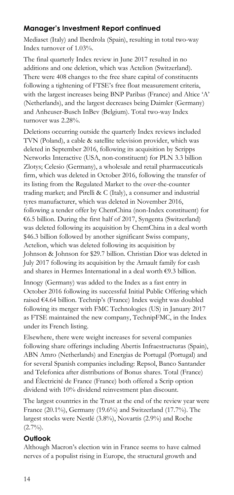## **Manager's Investment Report continued**

Mediaset (Italy) and Iberdrola (Spain), resulting in total two-way Index turnover of 1.03%.

The final quarterly Index review in June 2017 resulted in no additions and one deletion, which was Actelion (Switzerland). There were 408 changes to the free share capital of constituents following a tightening of FTSE's free float measurement criteria, with the largest increases being BNP Paribas (France) and Altice 'A' (Netherlands), and the largest decreases being Daimler (Germany) and Anheuser-Busch InBev (Belgium). Total two-way Index turnover was 2.28%.

Deletions occurring outside the quarterly Index reviews included TVN (Poland), a cable & satellite television provider, which was deleted in September 2016, following its acquisition by Scripps Networks Interactive (USA, non-constituent) for PLN 3.3 billion Zlotys; Celesio (Germany), a wholesale and retail pharmaceuticals firm, which was deleted in October 2016, following the transfer of its listing from the Regulated Market to the over-the-counter trading market; and Pirelli & C (Italy), a consumer and industrial tyres manufacturer, which was deleted in November 2016, following a tender offer by ChemChina (non-Index constituent) for €6.5 billion. During the first half of 2017, Syngenta (Switzerland) was deleted following its acquisition by ChemChina in a deal worth \$46.3 billion followed by another significant Swiss company, Actelion, which was deleted following its acquisition by Johnson & Johnson for \$29.7 billion. Christian Dior was deleted in July 2017 following its acquisition by the Arnault family for cash and shares in Hermes International in a deal worth €9.3 billion.

Innogy (Germany) was added to the Index as a fast entry in October 2016 following its successful Initial Public Offering which raised €4.64 billion. Technip's (France) Index weight was doubled following its merger with FMC Technologies (US) in January 2017 as FTSE maintained the new company, TechnipFMC, in the Index under its French listing.

Elsewhere, there were weight increases for several companies following share offerings including Abertis Infraestructuras (Spain), ABN Amro (Netherlands) and Energias de Portugal (Portugal) and for several Spanish companies including: Repsol, Banco Santander and Telefonica after distributions of Bonus shares. Total (France) and Électricité de France (France) both offered a Scrip option dividend with 10% dividend reinvestment plan discount.

The largest countries in the Trust at the end of the review year were France (20.1%), Germany (19.6%) and Switzerland (17.7%). The largest stocks were Nestlé (3.8%), Novartis (2.9%) and Roche  $(2.7\%)$ .

## **Outlook**

Although Macron's election win in France seems to have calmed nerves of a populist rising in Europe, the structural growth and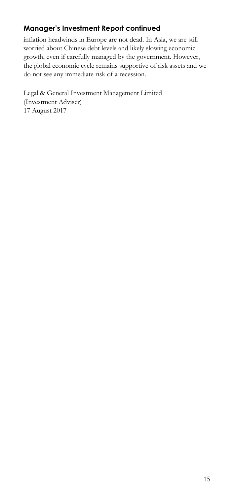# **Manager's Investment Report continued**

inflation headwinds in Europe are not dead. In Asia, we are still worried about Chinese debt levels and likely slowing economic growth, even if carefully managed by the government. However, the global economic cycle remains supportive of risk assets and we do not see any immediate risk of a recession.

Legal & General Investment Management Limited (Investment Adviser) 17 August 2017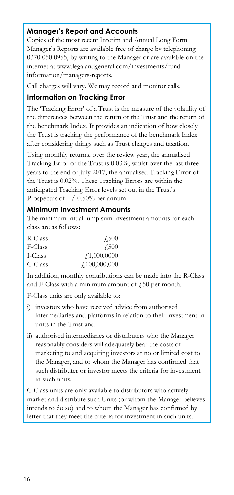## **Manager's Report and Accounts**

Copies of the most recent Interim and Annual Long Form Manager's Reports are available free of charge by telephoning 0370 050 0955, by writing to the Manager or are available on the internet at www.legalandgeneral.com/investments/fundinformation/managers-reports.

Call charges will vary. We may record and monitor calls.

## **Information on Tracking Error**

The 'Tracking Error' of a Trust is the measure of the volatility of the differences between the return of the Trust and the return of the benchmark Index. It provides an indication of how closely the Trust is tracking the performance of the benchmark Index after considering things such as Trust charges and taxation.

Using monthly returns, over the review year, the annualised Tracking Error of the Trust is 0.03%, whilst over the last three years to the end of July 2017, the annualised Tracking Error of the Trust is 0.02%. These Tracking Errors are within the anticipated Tracking Error levels set out in the Trust's Prospectus of  $+/-0.50\%$  per annum.

#### **Minimum Investment Amounts**

The minimum initial lump sum investment amounts for each class are as follows:

| R-Class | 4.500        |
|---------|--------------|
| F-Class | <b>£500</b>  |
| I-Class | f1,000,0000  |
| C-Class | f100,000,000 |

In addition, monthly contributions can be made into the R-Class and F-Class with a minimum amount of  $\ddot{\tau}$  50 per month.

F-Class units are only available to:

- i) investors who have received advice from authorised intermediaries and platforms in relation to their investment in units in the Trust and
- ii) authorised intermediaries or distributers who the Manager reasonably considers will adequately bear the costs of marketing to and acquiring investors at no or limited cost to the Manager, and to whom the Manager has confirmed that such distributer or investor meets the criteria for investment in such units.

C-Class units are only available to distributors who actively market and distribute such Units (or whom the Manager believes intends to do so) and to whom the Manager has confirmed by letter that they meet the criteria for investment in such units.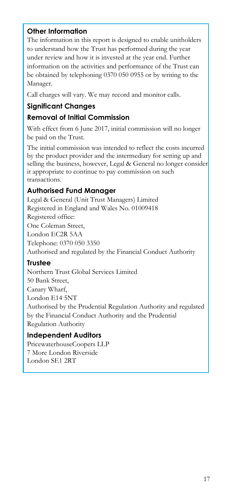## **Other Information**

The information in this report is designed to enable unitholders to understand how the Trust has performed during the year under review and how it is invested at the year end. Further information on the activities and performance of the Trust can be obtained by telephoning 0370 050 0955 or by writing to the Manager.

Call charges will vary. We may record and monitor calls.

# **Significant Changes**

## **Removal of Initial Commission**

With effect from 6 June 2017, initial commission will no longer be paid on the Trust.

The initial commission was intended to reflect the costs incurred by the product provider and the intermediary for setting up and selling the business, however, Legal & General no longer consider it appropriate to continue to pay commission on such transactions.

## **Authorised Fund Manager**

Legal & General (Unit Trust Managers) Limited Registered in England and Wales No. 01009418 Registered office: One Coleman Street, London EC2R 5AA Telephone: 0370 050 3350 Authorised and regulated by the Financial Conduct Authority

## **Trustee**

Northern Trust Global Services Limited 50 Bank Street, Canary Wharf, London E14 5NT Authorised by the Prudential Regulation Authority and regulated by the Financial Conduct Authority and the Prudential Regulation Authority

## **Independent Auditors**

PricewaterhouseCoopers LLP 7 More London Riverside London SE1 2RT